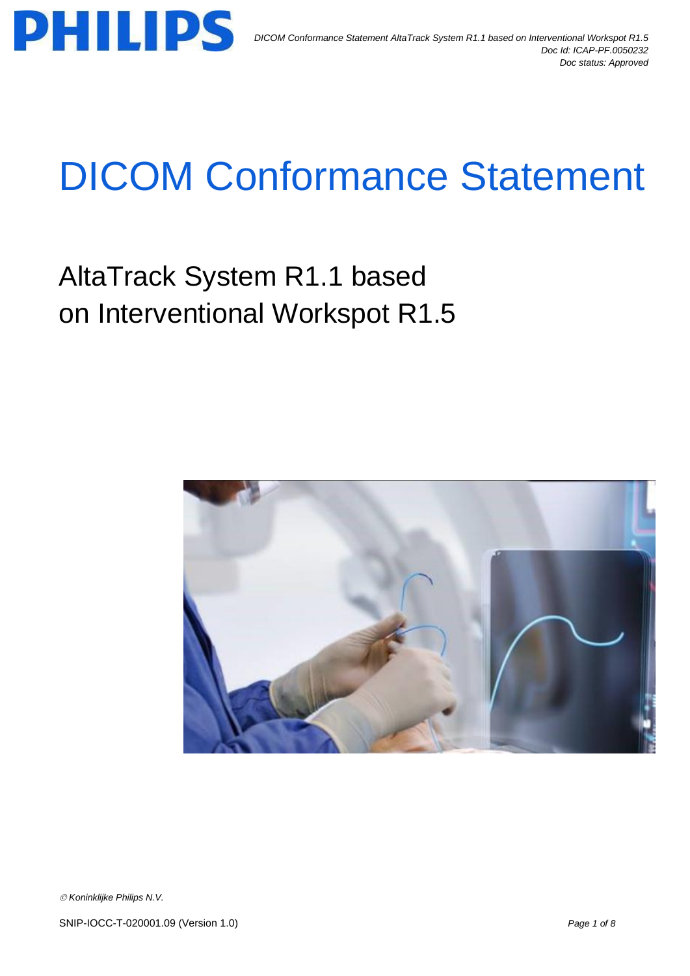

# DICOM Conformance Statement

AltaTrack System R1.1 based on Interventional Workspot R1.5



*Koninklijke Philips N.V.*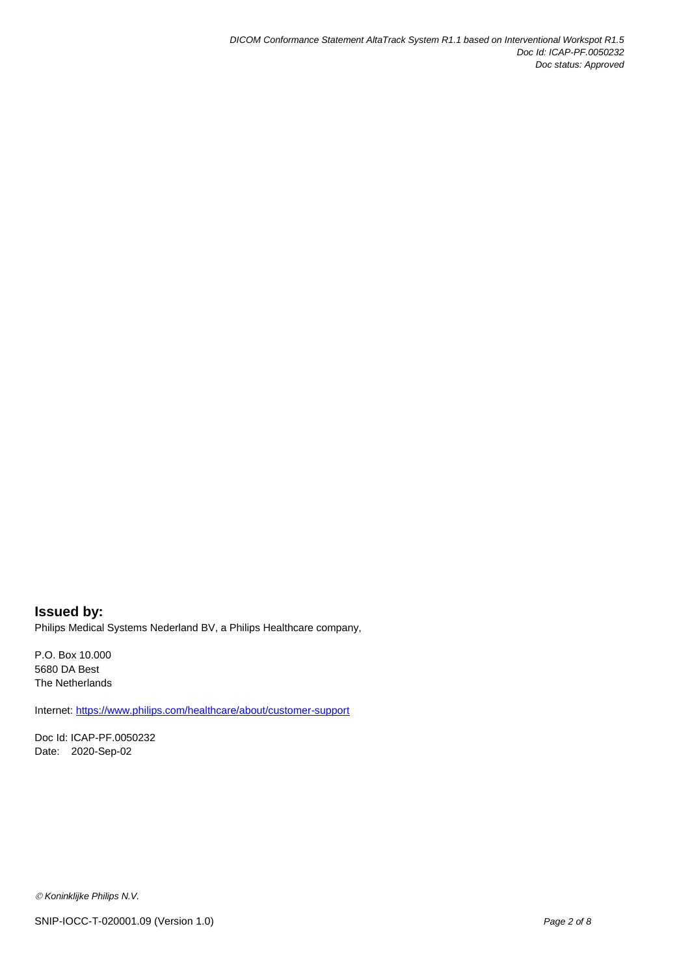### **Issued by:** Philips Medical Systems Nederland BV, a Philips Healthcare company,

P.O. Box 10.000 5680 DA Best The Netherlands

Internet[: https://www.philips.com/healthcare/about/customer-support](https://www.philips.com/healthcare/about/customer-support)

Doc Id: ICAP-PF.0050232 Date: 2020-Sep-02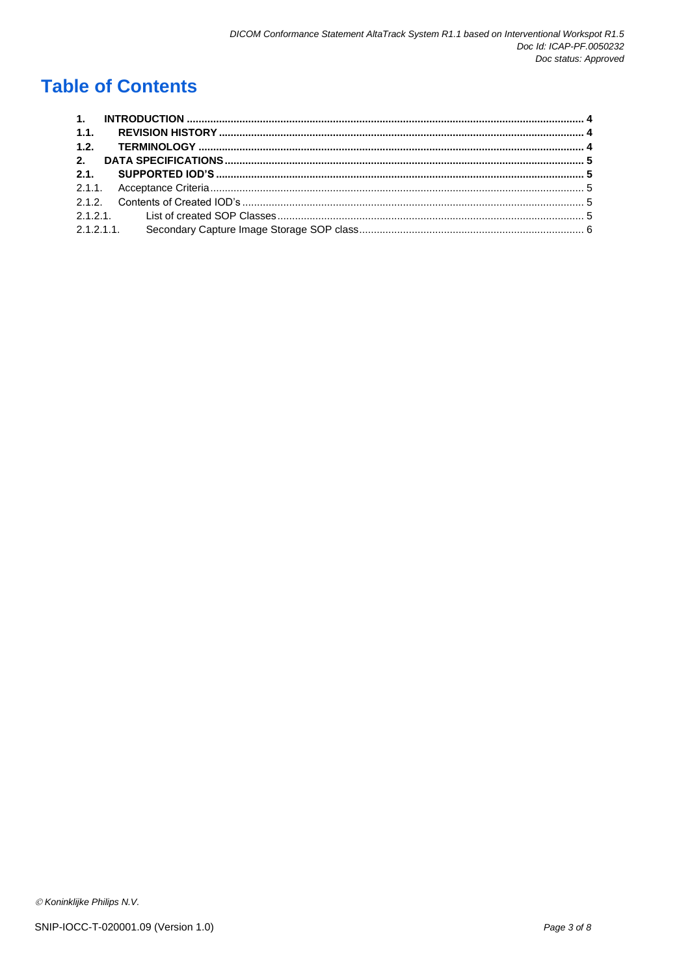## **Table of Contents**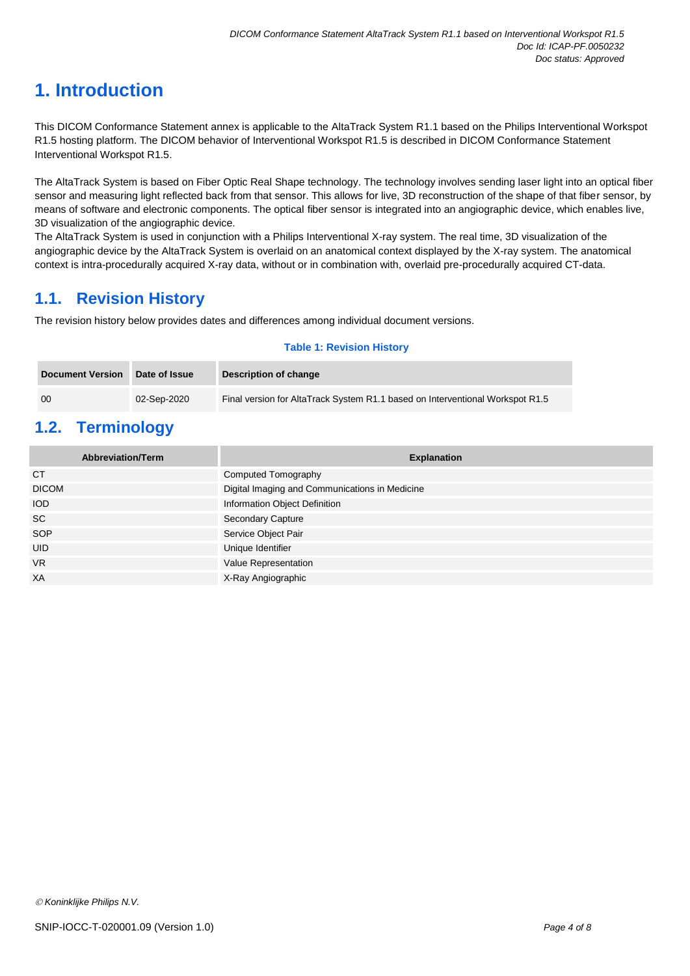# <span id="page-3-0"></span>**1. Introduction**

This DICOM Conformance Statement annex is applicable to the AltaTrack System R1.1 based on the Philips Interventional Workspot R1.5 hosting platform. The DICOM behavior of Interventional Workspot R1.5 is described in DICOM Conformance Statement Interventional Workspot R1.5.

The AltaTrack System is based on Fiber Optic Real Shape technology. The technology involves sending laser light into an optical fiber sensor and measuring light reflected back from that sensor. This allows for live, 3D reconstruction of the shape of that fiber sensor, by means of software and electronic components. The optical fiber sensor is integrated into an angiographic device, which enables live, 3D visualization of the angiographic device.

The AltaTrack System is used in conjunction with a Philips Interventional X-ray system. The real time, 3D visualization of the angiographic device by the AltaTrack System is overlaid on an anatomical context displayed by the X-ray system. The anatomical context is intra-procedurally acquired X-ray data, without or in combination with, overlaid pre-procedurally acquired CT-data.

## <span id="page-3-1"></span>**1.1. Revision History**

The revision history below provides dates and differences among individual document versions.

#### **Table 1: Revision History**

| <b>Document Version</b> | Date of Issue | Description of change                                                         |
|-------------------------|---------------|-------------------------------------------------------------------------------|
| -00                     | 02-Sep-2020   | Final version for AltaTrack System R1.1 based on Interventional Workspot R1.5 |

## <span id="page-3-2"></span>**1.2. Terminology**

| <b>Abbreviation/Term</b> | <b>Explanation</b>                             |
|--------------------------|------------------------------------------------|
| <b>CT</b>                | Computed Tomography                            |
| <b>DICOM</b>             | Digital Imaging and Communications in Medicine |
| <b>IOD</b>               | Information Object Definition                  |
| <b>SC</b>                | <b>Secondary Capture</b>                       |
| SOP                      | Service Object Pair                            |
| <b>UID</b>               | Unique Identifier                              |
| <b>VR</b>                | Value Representation                           |
| XA                       | X-Ray Angiographic                             |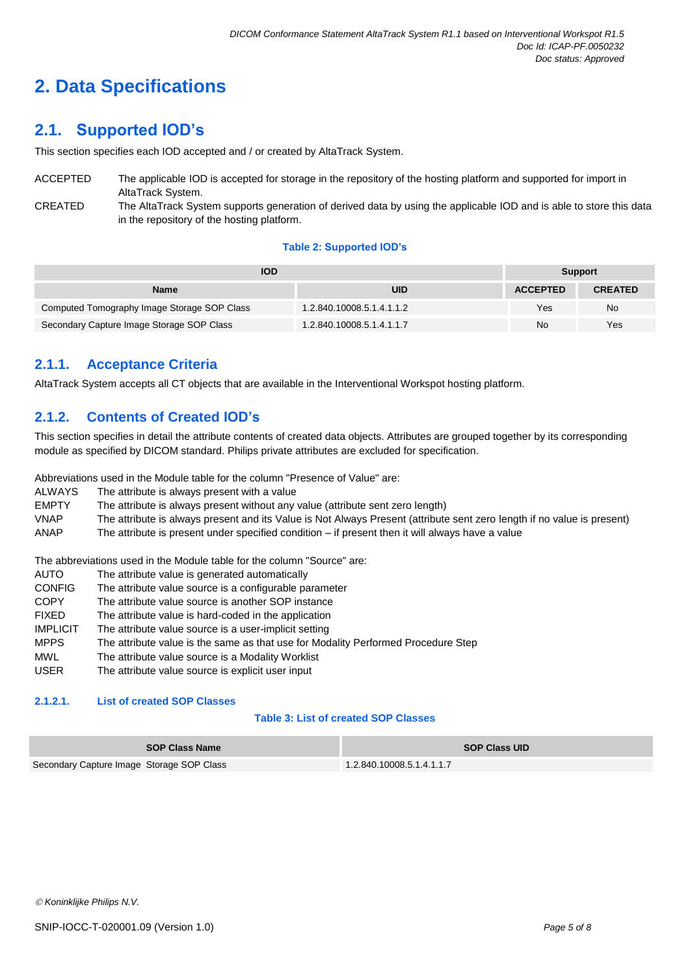# <span id="page-4-0"></span>**2. Data Specifications**

## <span id="page-4-1"></span>**2.1. Supported IOD's**

This section specifies each IOD accepted and / or created by AltaTrack System.

ACCEPTED The applicable IOD is accepted for storage in the repository of the hosting platform and supported for import in AltaTrack System. CREATED The AltaTrack System supports generation of derived data by using the applicable IOD and is able to store this data in the repository of the hosting platform.

#### **Table 2: Supported IOD's**

| IOD                                         | <b>Support</b>            |                 |                |
|---------------------------------------------|---------------------------|-----------------|----------------|
| Name                                        | <b>UID</b>                | <b>ACCEPTED</b> | <b>CREATED</b> |
| Computed Tomography Image Storage SOP Class | 1.2.840.10008.5.1.4.1.1.2 | Yes             | No.            |
| Secondary Capture Image Storage SOP Class   | 1.2.840.10008.5.1.4.1.1.7 | No              | Yes            |

## <span id="page-4-2"></span>**2.1.1. Acceptance Criteria**

AltaTrack System accepts all CT objects that are available in the Interventional Workspot hosting platform.

## <span id="page-4-3"></span>**2.1.2. Contents of Created IOD's**

This section specifies in detail the attribute contents of created data objects. Attributes are grouped together by its corresponding module as specified by DICOM standard. Philips private attributes are excluded for specification.

Abbreviations used in the Module table for the column "Presence of Value" are:

- ALWAYS The attribute is always present with a value
- EMPTY The attribute is always present without any value (attribute sent zero length)
- VNAP The attribute is always present and its Value is Not Always Present (attribute sent zero length if no value is present) ANAP The attribute is present under specified condition – if present then it will always have a value

The abbreviations used in the Module table for the column "Source" are:

- AUTO The attribute value is generated automatically
- CONFIG The attribute value source is a configurable parameter
- COPY The attribute value source is another SOP instance
- FIXED The attribute value is hard-coded in the application
- IMPLICIT The attribute value source is a user-implicit setting
- The attribute value is the same as that use for Modality Performed Procedure Step
- MWL The attribute value source is a Modality Worklist
- USER The attribute value source is explicit user input

#### <span id="page-4-4"></span>**2.1.2.1. List of created SOP Classes**

#### **Table 3: List of created SOP Classes**

| <b>SOP Class Name</b>                     | <b>SOP Class UID</b>      |
|-------------------------------------------|---------------------------|
| Secondary Capture Image Storage SOP Class | 1.2.840.10008.5.1.4.1.1.7 |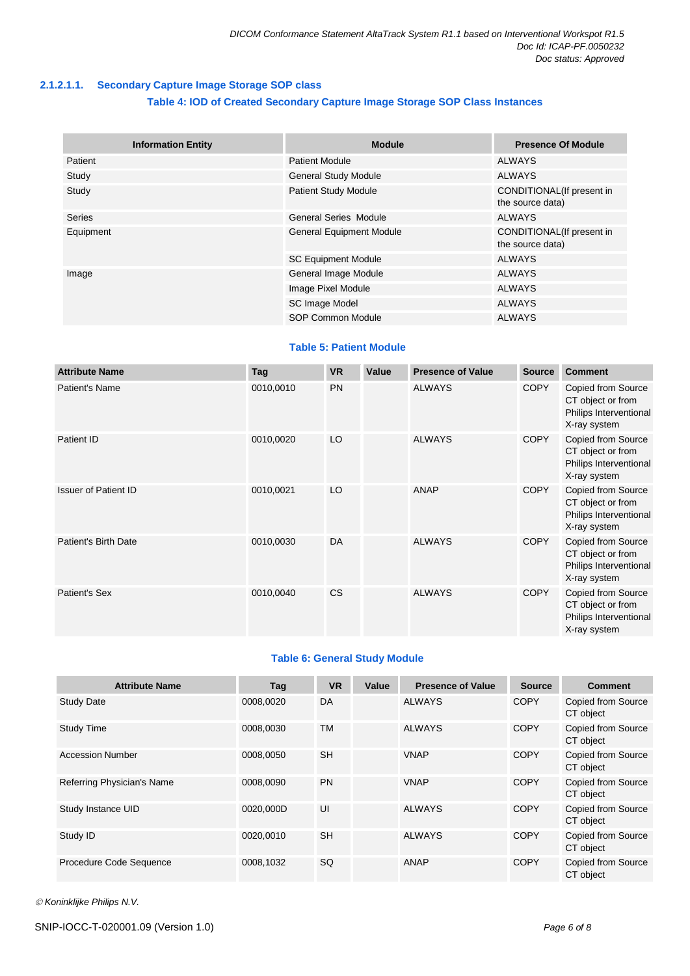#### <span id="page-5-0"></span>**2.1.2.1.1. Secondary Capture Image Storage SOP class**

#### **Table 4: IOD of Created Secondary Capture Image Storage SOP Class Instances**

| <b>Information Entity</b> | <b>Module</b>                   | <b>Presence Of Module</b>                     |  |
|---------------------------|---------------------------------|-----------------------------------------------|--|
| Patient                   | <b>Patient Module</b>           | ALWAYS                                        |  |
| Study                     | <b>General Study Module</b>     | <b>ALWAYS</b>                                 |  |
| Study                     | <b>Patient Study Module</b>     | CONDITIONAL(If present in<br>the source data) |  |
| <b>Series</b>             | <b>General Series Module</b>    | <b>ALWAYS</b>                                 |  |
| Equipment                 | <b>General Equipment Module</b> | CONDITIONAL(If present in<br>the source data) |  |
|                           | <b>SC Equipment Module</b>      | <b>ALWAYS</b>                                 |  |
| Image                     | General Image Module            | ALWAYS                                        |  |
|                           | Image Pixel Module              | ALWAYS                                        |  |
|                           | SC Image Model                  | <b>ALWAYS</b>                                 |  |
|                           | SOP Common Module               | <b>ALWAYS</b>                                 |  |

#### **Table 5: Patient Module**

| <b>Attribute Name</b>       | Tag       | <b>VR</b> | Value | <b>Presence of Value</b> | <b>Source</b> | <b>Comment</b>                                                                    |
|-----------------------------|-----------|-----------|-------|--------------------------|---------------|-----------------------------------------------------------------------------------|
| Patient's Name              | 0010,0010 | <b>PN</b> |       | <b>ALWAYS</b>            | <b>COPY</b>   | Copied from Source<br>CT object or from<br>Philips Interventional<br>X-ray system |
| Patient ID                  | 0010,0020 | LO        |       | <b>ALWAYS</b>            | <b>COPY</b>   | Copied from Source<br>CT object or from<br>Philips Interventional<br>X-ray system |
| <b>Issuer of Patient ID</b> | 0010,0021 | LO        |       | ANAP                     | <b>COPY</b>   | Copied from Source<br>CT object or from<br>Philips Interventional<br>X-ray system |
| Patient's Birth Date        | 0010,0030 | DA        |       | <b>ALWAYS</b>            | <b>COPY</b>   | Copied from Source<br>CT object or from<br>Philips Interventional<br>X-ray system |
| Patient's Sex               | 0010,0040 | <b>CS</b> |       | <b>ALWAYS</b>            | <b>COPY</b>   | Copied from Source<br>CT object or from<br>Philips Interventional<br>X-ray system |

#### **Table 6: General Study Module**

| <b>Attribute Name</b>      | Taq       | <b>VR</b> | Value | <b>Presence of Value</b> | <b>Source</b> | <b>Comment</b>                         |
|----------------------------|-----------|-----------|-------|--------------------------|---------------|----------------------------------------|
| <b>Study Date</b>          | 0008.0020 | DA        |       | <b>ALWAYS</b>            | <b>COPY</b>   | <b>Copied from Source</b><br>CT object |
| <b>Study Time</b>          | 0008.0030 | TM        |       | <b>ALWAYS</b>            | <b>COPY</b>   | Copied from Source<br>CT object        |
| <b>Accession Number</b>    | 0008.0050 | <b>SH</b> |       | <b>VNAP</b>              | <b>COPY</b>   | Copied from Source<br>CT object        |
| Referring Physician's Name | 0008,0090 | <b>PN</b> |       | <b>VNAP</b>              | <b>COPY</b>   | Copied from Source<br>CT object        |
| Study Instance UID         | 0020.000D | UI        |       | <b>ALWAYS</b>            | <b>COPY</b>   | Copied from Source<br>CT object        |
| Study ID                   | 0020.0010 | <b>SH</b> |       | <b>ALWAYS</b>            | <b>COPY</b>   | Copied from Source<br>CT object        |
| Procedure Code Sequence    | 0008,1032 | SQ.       |       | <b>ANAP</b>              | <b>COPY</b>   | Copied from Source<br>CT object        |

*Koninklijke Philips N.V.*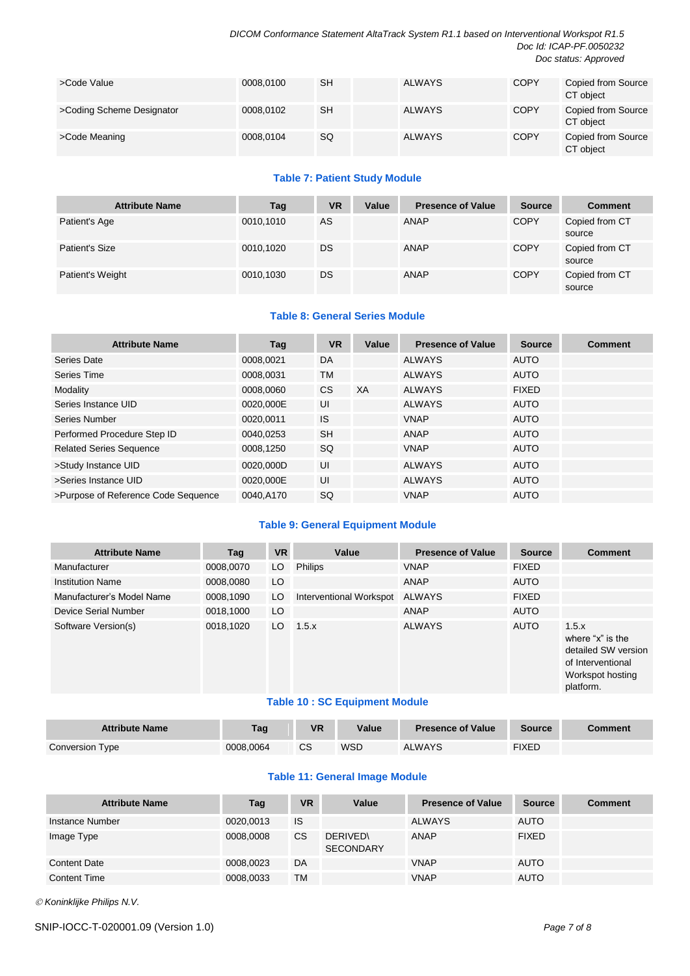*DICOM Conformance Statement AltaTrack System R1.1 based on Interventional Workspot R1.5 Doc Id: ICAP-PF.0050232 Doc status: Approved*

| >Code Value               | 0008.0100 | <b>SH</b> | <b>ALWAYS</b> | <b>COPY</b> | Copied from Source<br>CT object |
|---------------------------|-----------|-----------|---------------|-------------|---------------------------------|
| >Coding Scheme Designator | 0008,0102 | <b>SH</b> | <b>ALWAYS</b> | <b>COPY</b> | Copied from Source<br>CT object |
| >Code Meaning             | 0008.0104 | SQ        | <b>ALWAYS</b> | <b>COPY</b> | Copied from Source<br>CT object |

#### **Table 7: Patient Study Module**

| <b>Attribute Name</b> | Tag       | <b>VR</b> | Value | <b>Presence of Value</b> | <b>Source</b> | <b>Comment</b>           |
|-----------------------|-----------|-----------|-------|--------------------------|---------------|--------------------------|
| Patient's Age         | 0010,1010 | AS        |       | ANAP                     | <b>COPY</b>   | Copied from CT<br>source |
| Patient's Size        | 0010,1020 | DS        |       | <b>ANAP</b>              | <b>COPY</b>   | Copied from CT<br>source |
| Patient's Weight      | 0010,1030 | DS        |       | ANAP                     | <b>COPY</b>   | Copied from CT<br>source |

#### **Table 8: General Series Module**

| <b>Attribute Name</b>               | Tag       | VR        | Value | <b>Presence of Value</b> | <b>Source</b> | <b>Comment</b> |
|-------------------------------------|-----------|-----------|-------|--------------------------|---------------|----------------|
| Series Date                         | 0008,0021 | DA        |       | <b>ALWAYS</b>            | <b>AUTO</b>   |                |
| Series Time                         | 0008.0031 | <b>TM</b> |       | <b>ALWAYS</b>            | <b>AUTO</b>   |                |
| Modality                            | 0008.0060 | CS.       | XA    | <b>ALWAYS</b>            | <b>FIXED</b>  |                |
| Series Instance UID                 | 0020.000E | UI        |       | <b>ALWAYS</b>            | <b>AUTO</b>   |                |
| Series Number                       | 0020,0011 | <b>IS</b> |       | <b>VNAP</b>              | <b>AUTO</b>   |                |
| Performed Procedure Step ID         | 0040.0253 | <b>SH</b> |       | <b>ANAP</b>              | <b>AUTO</b>   |                |
| <b>Related Series Sequence</b>      | 0008,1250 | SQ.       |       | <b>VNAP</b>              | <b>AUTO</b>   |                |
| >Study Instance UID                 | 0020,000D | UI        |       | <b>ALWAYS</b>            | <b>AUTO</b>   |                |
| >Series Instance UID                | 0020.000E | UI        |       | <b>ALWAYS</b>            | <b>AUTO</b>   |                |
| >Purpose of Reference Code Sequence | 0040.A170 | SQ        |       | <b>VNAP</b>              | <b>AUTO</b>   |                |

#### **Table 9: General Equipment Module**

| <b>Attribute Name</b>     | Tag       | <b>VR</b> | Value                          | <b>Presence of Value</b> | <b>Source</b> | <b>Comment</b>                                                                                         |
|---------------------------|-----------|-----------|--------------------------------|--------------------------|---------------|--------------------------------------------------------------------------------------------------------|
| Manufacturer              | 0008,0070 | LO        | <b>Philips</b>                 | <b>VNAP</b>              | <b>FIXED</b>  |                                                                                                        |
| <b>Institution Name</b>   | 0008.0080 | LO        |                                | ANAP                     | <b>AUTO</b>   |                                                                                                        |
| Manufacturer's Model Name | 0008,1090 | LO        | Interventional Workspot        | ALWAYS                   | <b>FIXED</b>  |                                                                                                        |
| Device Serial Number      | 0018,1000 | LO        |                                | ANAP                     | <b>AUTO</b>   |                                                                                                        |
| Software Version(s)       | 0018,1020 | LO.       | 1.5.x                          | <b>ALWAYS</b>            | <b>AUTO</b>   | 1.5.x<br>where "x" is the<br>detailed SW version<br>of Interventional<br>Workspot hosting<br>platform. |
|                           |           |           | Table 40 : CC Equipment Medula |                          |               |                                                                                                        |

#### **Table 10 : SC Equipment Module**

| <b>Attribute Name</b> | <b>Tag</b> | <b>VR</b> | Value | <b>Presence of Value</b> | <b>Source</b> | Comment |
|-----------------------|------------|-----------|-------|--------------------------|---------------|---------|
| Conversion Type       | 0008.0064  | CS        | WSD   | ALWAYS                   | <b>FIXED</b>  |         |

#### **Table 11: General Image Module**

| <b>Attribute Name</b> | Tag       | <b>VR</b> | Value                              | <b>Presence of Value</b> | <b>Source</b> | <b>Comment</b> |
|-----------------------|-----------|-----------|------------------------------------|--------------------------|---------------|----------------|
| Instance Number       | 0020,0013 | <b>IS</b> |                                    | <b>ALWAYS</b>            | <b>AUTO</b>   |                |
| Image Type            | 0008,0008 | <b>CS</b> | <b>DERIVED</b><br><b>SECONDARY</b> | ANAP                     | <b>FIXED</b>  |                |
| Content Date          | 0008,0023 | DA        |                                    | <b>VNAP</b>              | <b>AUTO</b>   |                |
| <b>Content Time</b>   | 0008,0033 | TM        |                                    | <b>VNAP</b>              | <b>AUTO</b>   |                |

*Koninklijke Philips N.V.*